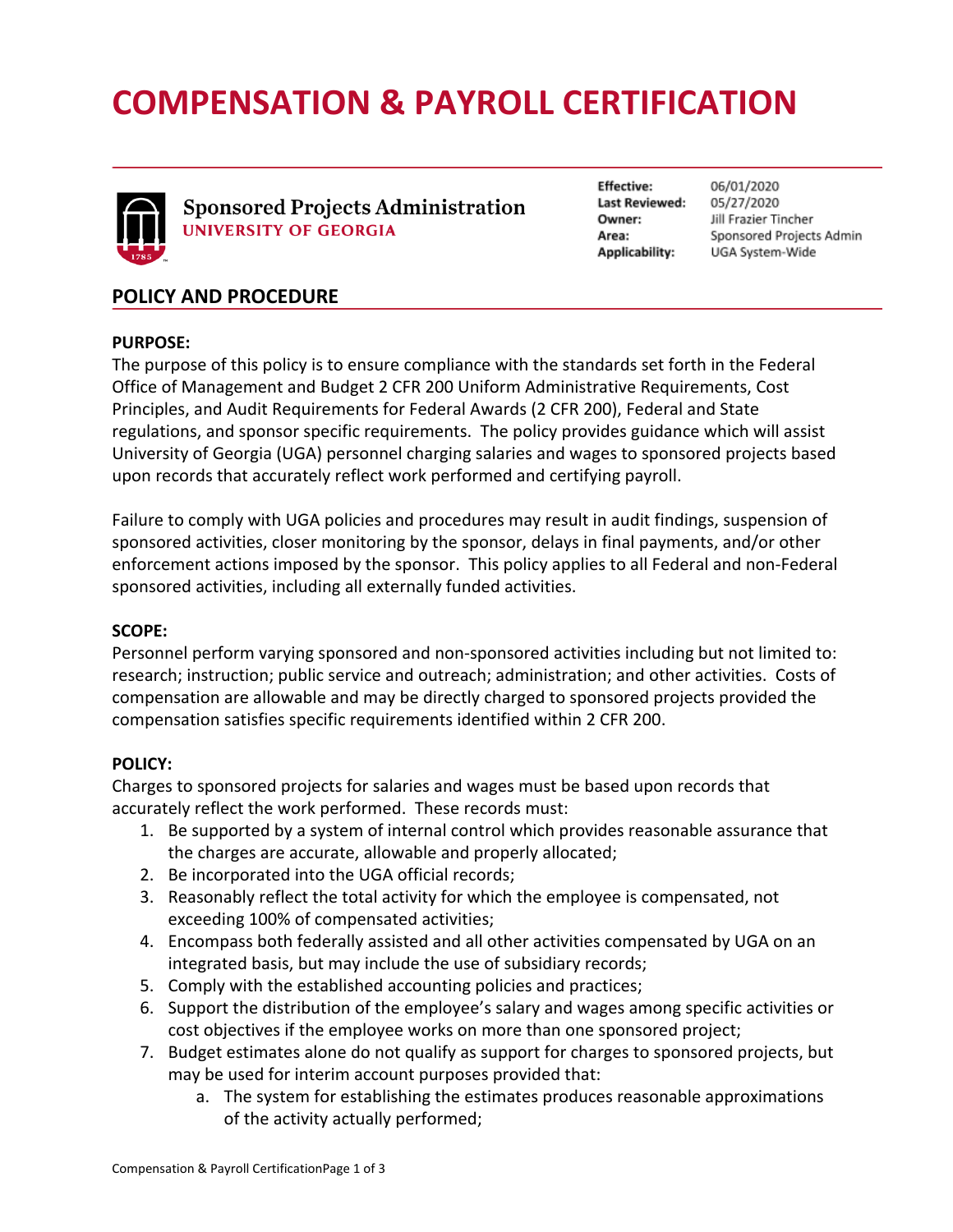# **COMPENSATION & PAYROLL CERTIFICATION**



**Sponsored Projects Administration UNIVERSITY OF GEORGIA** 

**Effective: Last Reviewed:** Owner: Area: Applicability:

06/01/2020 05/27/2020 Jill Frazier Tincher Sponsored Projects Admin UGA System-Wide

## **POLICY AND PROCEDURE**

#### **PURPOSE:**

The purpose of this policy is to ensure compliance with the standards set forth in the Federal Office of Management and Budget 2 CFR 200 Uniform Administrative Requirements, Cost Principles, and Audit Requirements for Federal Awards (2 CFR 200), Federal and State regulations, and sponsor specific requirements. The policy provides guidance which will assist University of Georgia (UGA) personnel charging salaries and wages to sponsored projects based upon records that accurately reflect work performed and certifying payroll.

Failure to comply with UGA policies and procedures may result in audit findings, suspension of sponsored activities, closer monitoring by the sponsor, delays in final payments, and/or other enforcement actions imposed by the sponsor. This policy applies to all Federal and non-Federal sponsored activities, including all externally funded activities.

#### **SCOPE:**

Personnel perform varying sponsored and non-sponsored activities including but not limited to: research; instruction; public service and outreach; administration; and other activities. Costs of compensation are allowable and may be directly charged to sponsored projects provided the compensation satisfies specific requirements identified within 2 CFR 200.

#### **POLICY:**

Charges to sponsored projects for salaries and wages must be based upon records that accurately reflect the work performed. These records must:

- 1. Be supported by a system of internal control which provides reasonable assurance that the charges are accurate, allowable and properly allocated;
- 2. Be incorporated into the UGA official records;
- 3. Reasonably reflect the total activity for which the employee is compensated, not exceeding 100% of compensated activities;
- 4. Encompass both federally assisted and all other activities compensated by UGA on an integrated basis, but may include the use of subsidiary records;
- 5. Comply with the established accounting policies and practices;
- 6. Support the distribution of the employee's salary and wages among specific activities or cost objectives if the employee works on more than one sponsored project;
- 7. Budget estimates alone do not qualify as support for charges to sponsored projects, but may be used for interim account purposes provided that:
	- a. The system for establishing the estimates produces reasonable approximations of the activity actually performed;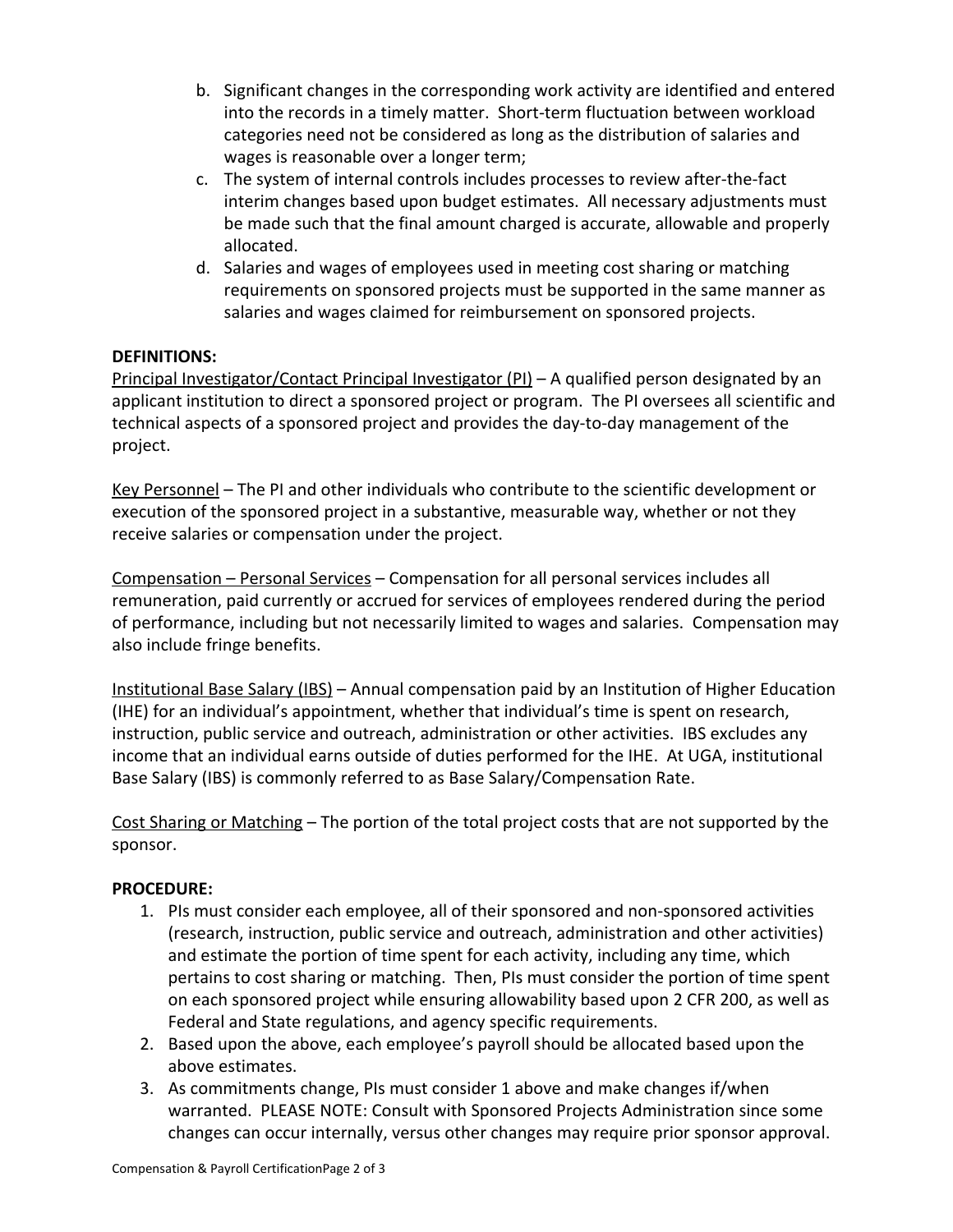- b. Significant changes in the corresponding work activity are identified and entered into the records in a timely matter. Short-term fluctuation between workload categories need not be considered as long as the distribution of salaries and wages is reasonable over a longer term;
- c. The system of internal controls includes processes to review after-the-fact interim changes based upon budget estimates. All necessary adjustments must be made such that the final amount charged is accurate, allowable and properly allocated.
- d. Salaries and wages of employees used in meeting cost sharing or matching requirements on sponsored projects must be supported in the same manner as salaries and wages claimed for reimbursement on sponsored projects.

### **DEFINITIONS:**

Principal Investigator/Contact Principal Investigator (PI) - A qualified person designated by an applicant institution to direct a sponsored project or program. The PI oversees all scientific and technical aspects of a sponsored project and provides the day-to-day management of the project.

Key Personnel – The PI and other individuals who contribute to the scientific development or execution of the sponsored project in a substantive, measurable way, whether or not they receive salaries or compensation under the project.

Compensation – Personal Services – Compensation for all personal services includes all remuneration, paid currently or accrued for services of employees rendered during the period of performance, including but not necessarily limited to wages and salaries. Compensation may also include fringe benefits.

Institutional Base Salary (IBS) – Annual compensation paid by an Institution of Higher Education (IHE) for an individual's appointment, whether that individual's time is spent on research, instruction, public service and outreach, administration or other activities. IBS excludes any income that an individual earns outside of duties performed for the IHE. At UGA, institutional Base Salary (IBS) is commonly referred to as Base Salary/Compensation Rate.

Cost Sharing or Matching – The portion of the total project costs that are not supported by the sponsor.

#### **PROCEDURE:**

- 1. PIs must consider each employee, all of their sponsored and non-sponsored activities (research, instruction, public service and outreach, administration and other activities) and estimate the portion of time spent for each activity, including any time, which pertains to cost sharing or matching. Then, PIs must consider the portion of time spent on each sponsored project while ensuring allowability based upon 2 CFR 200, as well as Federal and State regulations, and agency specific requirements.
- 2. Based upon the above, each employee's payroll should be allocated based upon the above estimates.
- 3. As commitments change, PIs must consider 1 above and make changes if/when warranted. PLEASE NOTE: Consult with Sponsored Projects Administration since some changes can occur internally, versus other changes may require prior sponsor approval.